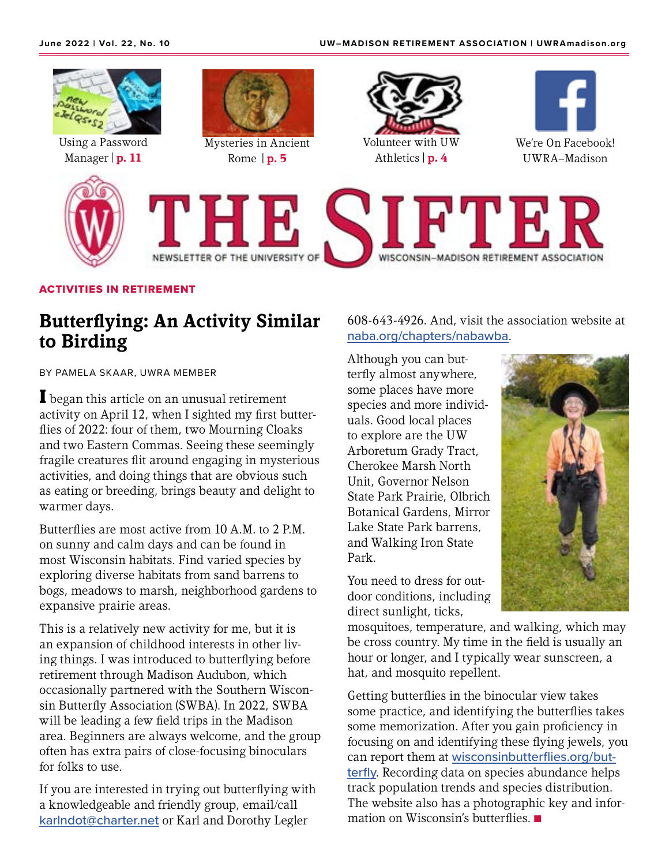

### ACTIVITIES IN RETIREMENT

## **Butterflying: An Activity Similar to Birding**

BY PAMELA SKAAR, UWRA MEMBER

**I** began this article on an unusual retirement activity on April 12, when I sighted my first butterflies of 2022: four of them, two Mourning Cloaks and two Eastern Commas. Seeing these seemingly fragile creatures flit around engaging in mysterious activities, and doing things that are obvious such as eating or breeding, brings beauty and delight to warmer days.

Butterflies are most active from 10 A.M. to 2 P.M. on sunny and calm days and can be found in most Wisconsin habitats. Find varied species by exploring diverse habitats from sand barrens to bogs, meadows to marsh, neighborhood gardens to expansive prairie areas.

This is a relatively new activity for me, but it is an expansion of childhood interests in other living things. I was introduced to butterflying before retirement through Madison Audubon, which occasionally partnered with the Southern Wisconsin Butterfly Association (SWBA). In 2022, SWBA will be leading a few field trips in the Madison area. Beginners are always welcome, and the group often has extra pairs of close-focusing binoculars for folks to use.

If you are interested in trying out butterflying with a knowledgeable and friendly group, email/call [karlndot@charter.net](mailto:karlndot%40charter.net?subject=) or Karl and Dorothy Legler

608-643-4926. And, visit the association website at [naba.org/chapters/nabawba](https://www.naba.org/chapters/nabawba/).

Although you can butterfly almost anywhere, some places have more species and more individuals. Good local places to explore are the UW Arboretum Grady Tract, Cherokee Marsh North Unit, Governor Nelson State Park Prairie, Olbrich Botanical Gardens, Mirror Lake State Park barrens, and Walking Iron State Park.

You need to dress for outdoor conditions, including direct sunlight, ticks,



mosquitoes, temperature, and walking, which may be cross country. My time in the field is usually an hour or longer, and I typically wear sunscreen, a hat, and mosquito repellent.

Getting butterflies in the binocular view takes some practice, and identifying the butterflies takes some memorization. After you gain proficiency in focusing on and identifying these flying jewels, you can report them at [wisconsinbutterflies.org/but](https://wisconsinbutterflies.org/butterfly)[terfly](https://wisconsinbutterflies.org/butterfly). Recording data on species abundance helps track population trends and species distribution. The website also has a photographic key and information on Wisconsin's butterflies.  $\blacksquare$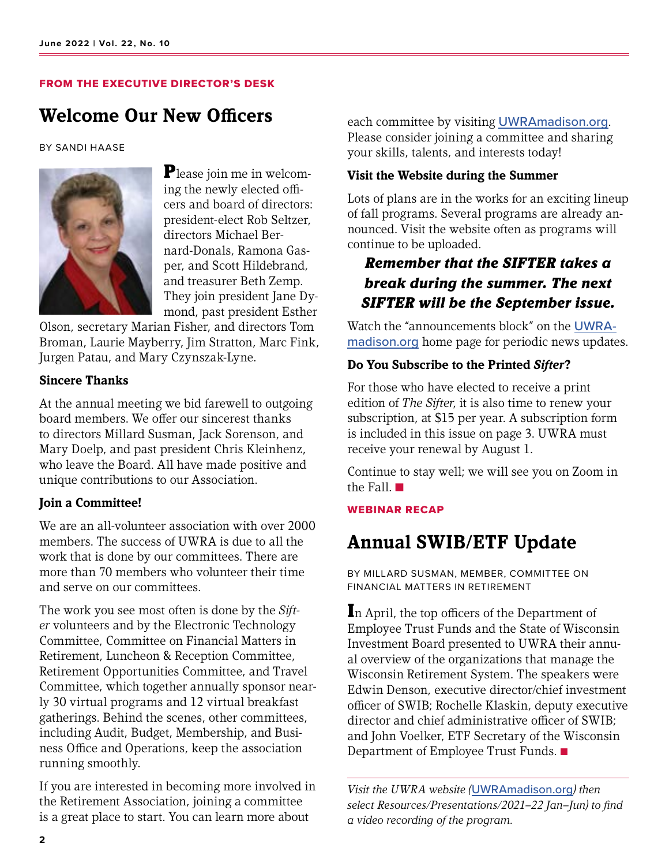#### FROM THE EXECUTIVE DIRECTOR'S DESK

## **Welcome Our New Officers**

#### BY SANDI HAASE



Please join me in welcoming the newly elected officers and board of directors: president-elect Rob Seltzer, directors Michael Bernard-Donals, Ramona Gasper, and Scott Hildebrand, and treasurer Beth Zemp. They join president Jane Dymond, past president Esther

Olson, secretary Marian Fisher, and directors Tom Broman, Laurie Mayberry, Jim Stratton, Marc Fink, Jurgen Patau, and Mary Czynszak-Lyne.

### **Sincere Thanks**

At the annual meeting we bid farewell to outgoing board members. We offer our sincerest thanks to directors Millard Susman, Jack Sorenson, and Mary Doelp, and past president Chris Kleinhenz, who leave the Board. All have made positive and unique contributions to our Association.

### **Join a Committee!**

We are an all-volunteer association with over 2000 members. The success of UWRA is due to all the work that is done by our committees. There are more than 70 members who volunteer their time and serve on our committees.

The work you see most often is done by the *Sifter* volunteers and by the Electronic Technology Committee, Committee on Financial Matters in Retirement, Luncheon & Reception Committee, Retirement Opportunities Committee, and Travel Committee, which together annually sponsor nearly 30 virtual programs and 12 virtual breakfast gatherings. Behind the scenes, other committees, including Audit, Budget, Membership, and Business Office and Operations, keep the association running smoothly.

If you are interested in becoming more involved in the Retirement Association, joining a committee is a great place to start. You can learn more about

each committee by visiting [UWRAmadison.org](https://UWRAmadison.org). Please consider joining a committee and sharing your skills, talents, and interests today!

### **Visit the Website during the Summer**

Lots of plans are in the works for an exciting lineup of fall programs. Several programs are already announced. Visit the website often as programs will continue to be uploaded.

### *Remember that the SIFTER takes a break during the summer. The next SIFTER will be the September issue.*

Watch the "announcements block" on the [UWRA](http://UWRAmadison.org)[madison.org](http://UWRAmadison.org) home page for periodic news updates.

### **Do You Subscribe to the Printed** *Sifter***?**

For those who have elected to receive a print edition of *The Sifter*, it is also time to renew your subscription, at \$15 per year. A subscription form is included in this issue on page 3. UWRA must receive your renewal by August 1.

Continue to stay well; we will see you on Zoom in the Fall.  $\blacksquare$ 

#### WEBINAR RECAP

# **Annual SWIB/ETF Update**

BY MILLARD SUSMAN, MEMBER, COMMITTEE ON FINANCIAL MATTERS IN RETIREMENT

In April, the top officers of the Department of Employee Trust Funds and the State of Wisconsin Investment Board presented to UWRA their annual overview of the organizations that manage the Wisconsin Retirement System. The speakers were Edwin Denson, executive director/chief investment officer of SWIB; Rochelle Klaskin, deputy executive director and chief administrative officer of SWIB; and John Voelker, ETF Secretary of the Wisconsin Department of Employee Trust Funds.

*Visit the UWRA website (*[UWRAmadison.org](http://UWRAmadison.org)*) then select Resources/Presentations/2021–22 Jan–Jun) to find a video recording of the program.*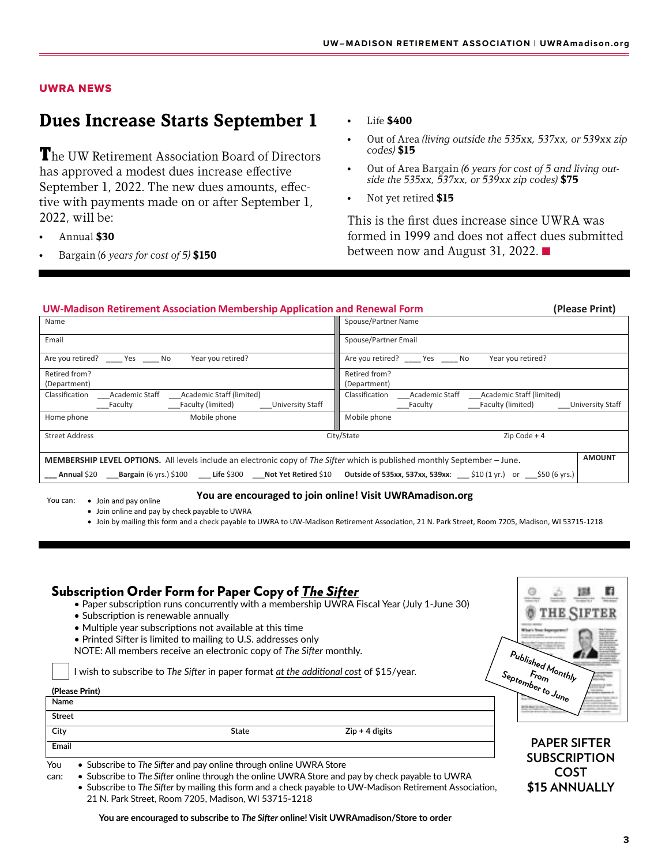#### UWRA NEWS

### **Dues Increase Starts September 1**

The UW Retirement Association Board of Directors has approved a modest dues increase effective September 1, 2022. The new dues amounts, effective with payments made on or after September 1, 2022, will be:

- Annual **\$30**
- Bargain (*6 years for cost of 5)* **\$150**
- Life **\$400**
- Out of Area *(living outside the 535xx, 537xx, or 539xx zip codes)* **\$15**
- Out of Area Bargain *(6 years for cost of 5 and living outside the 535xx, 537xx, or 539xx zip codes)* **\$75**
- Not yet retired **\$15**

This is the first dues increase since UWRA was formed in 1999 and does not affect dues submitted between now and August 31, 2022.  $\blacksquare$ 

| <b>UW-Madison Retirement Association Membership Application and Renewal Form</b>                                                                 |                                                                     |  |  |  |
|--------------------------------------------------------------------------------------------------------------------------------------------------|---------------------------------------------------------------------|--|--|--|
| Name                                                                                                                                             | Spouse/Partner Name                                                 |  |  |  |
| Email                                                                                                                                            | Spouse/Partner Email                                                |  |  |  |
| Are you retired? ______ Yes ______ No<br>Year you retired?                                                                                       | Are you retired? Yes No<br>Year you retired?                        |  |  |  |
| Retired from?                                                                                                                                    | Retired from?                                                       |  |  |  |
| (Department)                                                                                                                                     | (Department)                                                        |  |  |  |
| Classification<br>Academic Staff<br>Academic Staff (limited)                                                                                     | Classification<br><b>Academic Staff</b><br>Academic Staff (limited) |  |  |  |
| <b>University Staff</b><br>Faculty (limited)<br>Faculty                                                                                          | Faculty (limited)<br>University Staff<br>Faculty                    |  |  |  |
| Mobile phone<br>Home phone                                                                                                                       | Mobile phone                                                        |  |  |  |
| <b>Street Address</b>                                                                                                                            | City/State<br>$Zip Code + 4$                                        |  |  |  |
| <b>MEMBERSHIP LEVEL OPTIONS.</b> All levels include an electronic copy of The Sifter which is published monthly September – June.                |                                                                     |  |  |  |
| <b>Annual \$20 Bargain (6 yrs.) \$100 Life \$300 Not Yet Retired \$10</b><br><b>Outside of 535xx, 537xx, 539xx</b> : 510 (1 yr.) or 550 (6 yrs.) |                                                                     |  |  |  |

You can: • Join and pay online

**You are encouraged to join online! Visit UWRAmadison.org**

• Join online and pay by check payable to UWRA

• Join by mailing this form and a check payable to UWRA to UW-Madison Retirement Association, 21 N. Park Street, Room 7205, Madison, WI 53715-1218

### Subscription Order Form for Paper Copy of *The Sifter*

- Paper subscription runs concurrently with a membership UWRA Fiscal Year (July 1-June 30)
- Subscription is renewable annually
- Multiple year subscriptions not available at this time
- Printed Sifter is limited to mailing to U.S. addresses only
- NOTE: All members receive an electronic copy of *The Sifter* monthly.

I wish to subscribe to *The Sifter* in paper format *at the additional cost* of \$15/year.

#### (Please Print)

### **PAPER SIFTER SUBSCRIPTION September to June Name Street City State Zip + 4 digits Email**

- You Subscribe to *The Sifter* and pay online through online UWRA Store
- can: Subscribe to *The Sifter* online through the online UWRA Store and pay by check payable to UWRA
	- Subscribe to *The Sifter* by mailing this form and a check payable to UW-Madison Retirement Association, 21 N. Park Street, Room 7205, Madison, WI 53715-1218

**COST \$15 ANNUALLY**

**Published Monthly From**

**You are encouraged to subscribe to** *The Sifter* **online! Visit UWRAmadison/Store to order**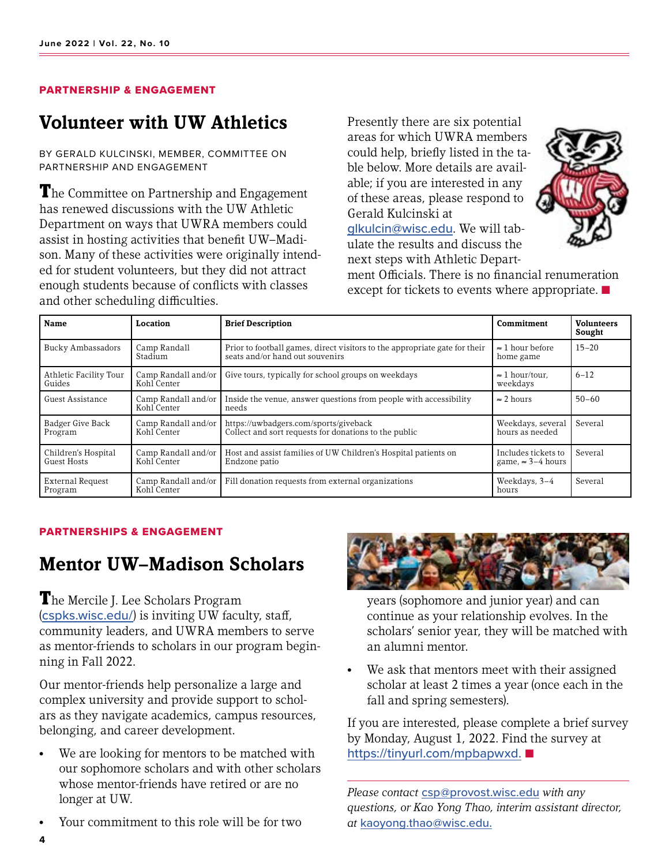### PARTNERSHIP & ENGAGEMENT

## **Volunteer with UW Athletics**

BY GERALD KULCINSKI, MEMBER, COMMITTEE ON PARTNERSHIP AND ENGAGEMENT

**The Committee on Partnership and Engagement** has renewed discussions with the UW Athletic Department on ways that UWRA members could assist in hosting activities that benefit UW–Madison. Many of these activities were originally intended for student volunteers, but they did not attract enough students because of conflicts with classes and other scheduling difficulties.

Presently there are six potential areas for which UWRA members could help, briefly listed in the table below. More details are available; if you are interested in any of these areas, please respond to Gerald Kulcinski at

[glkulcin@wisc.edu](mailto:glkulcin%40wisc.edu?subject=). We will tabulate the results and discuss the next steps with Athletic Depart-



ment Officials. There is no financial renumeration except for tickets to events where appropriate.  $\blacksquare$ 

| Name                                      | Location                           | <b>Brief Description</b>                                                                                      | Commitment                                       | <b>Volunteers</b><br>Sought |
|-------------------------------------------|------------------------------------|---------------------------------------------------------------------------------------------------------------|--------------------------------------------------|-----------------------------|
| Bucky Ambassadors                         | Camp Randall<br>Stadium            | Prior to football games, direct visitors to the appropriate gate for their<br>seats and/or hand out souvenirs | $\approx$ 1 hour before<br>home game             | $15 - 20$                   |
| Athletic Facility Tour<br>Guides          | Camp Randall and/or<br>Kohl Center | Give tours, typically for school groups on weekdays                                                           | $\approx$ 1 hour/tour.<br>weekdays               | $6 - 12$                    |
| Guest Assistance                          | Camp Randall and/or<br>Kohl Center | Inside the venue, answer questions from people with accessibility<br>needs                                    | $\approx$ 2 hours                                | $50 - 60$                   |
| Badger Give Back<br>Program               | Camp Randall and/or<br>Kohl Center | https://uwbadgers.com/sports/giveback<br>Collect and sort requests for donations to the public                | Weekdays, several<br>hours as needed             | Several                     |
| Children's Hospital<br><b>Guest Hosts</b> | Camp Randall and/or<br>Kohl Center | Host and assist families of UW Children's Hospital patients on<br>Endzone patio                               | Includes tickets to<br>game, $\approx$ 3-4 hours | Several                     |
| <b>External Request</b><br>Program        | Camp Randall and/or<br>Kohl Center | Fill donation requests from external organizations                                                            | Weekdays, 3-4<br>hours                           | Several                     |

#### PARTNERSHIPS & ENGAGEMENT

# **Mentor UW–Madison Scholars**

The Mercile J. Lee Scholars Program ([cspks.wisc.edu/](https://cspks.wisc.edu/)) is inviting UW faculty, staff, community leaders, and UWRA members to serve as mentor-friends to scholars in our program beginning in Fall 2022.

Our mentor-friends help personalize a large and complex university and provide support to scholars as they navigate academics, campus resources, belonging, and career development.

- We are looking for mentors to be matched with our sophomore scholars and with other scholars whose mentor-friends have retired or are no longer at UW.
- Your commitment to this role will be for two



years (sophomore and junior year) and can continue as your relationship evolves. In the scholars' senior year, they will be matched with an alumni mentor.

• We ask that mentors meet with their assigned scholar at least 2 times a year (once each in the fall and spring semesters).

If you are interested, please complete a brief survey by Monday, August 1, 2022. Find the survey at https://tinyurl.com/mpbapwxd. ■

*Please contact* [csp@provost.wisc.edu](mailto:csp%40provost.wisc.edu?subject=) *with any questions, or Kao Yong Thao, interim assistant director, at* [kaoyong.thao@wisc.edu.](mailto:kaoyong.thao%40wisc.edu?subject=)

**4**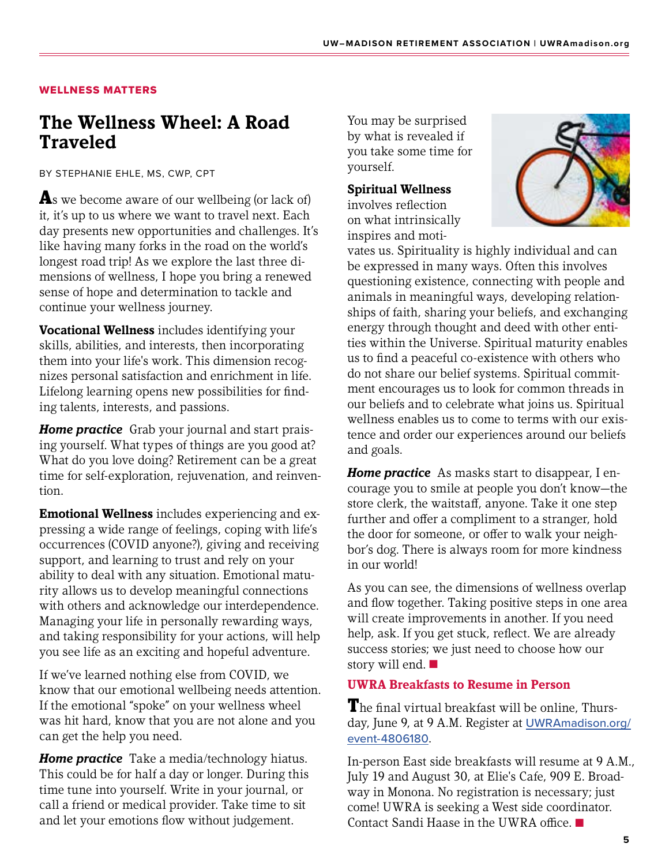### WELLNESS MATTERS

# **The Wellness Wheel: A Road Traveled**

BY STEPHANIE EHLE, MS, CWP, CPT

As we become aware of our wellbeing (or lack of) it, it's up to us where we want to travel next. Each day presents new opportunities and challenges. It's like having many forks in the road on the world's longest road trip! As we explore the last three dimensions of wellness, I hope you bring a renewed sense of hope and determination to tackle and continue your wellness journey.

**Vocational Wellness** includes identifying your skills, abilities, and interests, then incorporating them into your life's work. This dimension recognizes personal satisfaction and enrichment in life. Lifelong learning opens new possibilities for finding talents, interests, and passions.

*Home practice* Grab your journal and start praising yourself. What types of things are you good at? What do you love doing? Retirement can be a great time for self-exploration, rejuvenation, and reinvention.

**Emotional Wellness** includes experiencing and expressing a wide range of feelings, coping with life's occurrences (COVID anyone?), giving and receiving support, and learning to trust and rely on your ability to deal with any situation. Emotional maturity allows us to develop meaningful connections with others and acknowledge our interdependence. Managing your life in personally rewarding ways, and taking responsibility for your actions, will help you see life as an exciting and hopeful adventure.

If we've learned nothing else from COVID, we know that our emotional wellbeing needs attention. If the emotional "spoke" on your wellness wheel was hit hard, know that you are not alone and you can get the help you need.

*Home practice* Take a media/technology hiatus. This could be for half a day or longer. During this time tune into yourself. Write in your journal, or call a friend or medical provider. Take time to sit and let your emotions flow without judgement.

You may be surprised by what is revealed if you take some time for yourself.

### **Spiritual Wellness**

involves reflection on what intrinsically inspires and moti-



vates us. Spirituality is highly individual and can be expressed in many ways. Often this involves questioning existence, connecting with people and animals in meaningful ways, developing relationships of faith, sharing your beliefs, and exchanging energy through thought and deed with other entities within the Universe. Spiritual maturity enables us to find a peaceful co-existence with others who do not share our belief systems. Spiritual commitment encourages us to look for common threads in our beliefs and to celebrate what joins us. Spiritual wellness enables us to come to terms with our existence and order our experiences around our beliefs and goals.

*Home practice* As masks start to disappear, I encourage you to smile at people you don't know—the store clerk, the waitstaff, anyone. Take it one step further and offer a compliment to a stranger, hold the door for someone, or offer to walk your neighbor's dog. There is always room for more kindness in our world!

As you can see, the dimensions of wellness overlap and flow together. Taking positive steps in one area will create improvements in another. If you need help, ask. If you get stuck, reflect. We are already success stories; we just need to choose how our story will end.  $\blacksquare$ 

### **UWRA Breakfasts to Resume in Person**

The final virtual breakfast will be online, Thurs-day, June 9, at 9 A.M. Register at [UWRAmadison.org/](http://UWRAmadison.org/event-4806180) [event-4](http://UWRAmadison.org/event-4806180)806180.

In-person East side breakfasts will resume at 9 A.M., July 19 and August 30, at Elie's Cafe, 909 E. Broadway in Monona. No registration is necessary; just come! UWRA is seeking a West side coordinator. Contact Sandi Haase in the UWRA office.  $\blacksquare$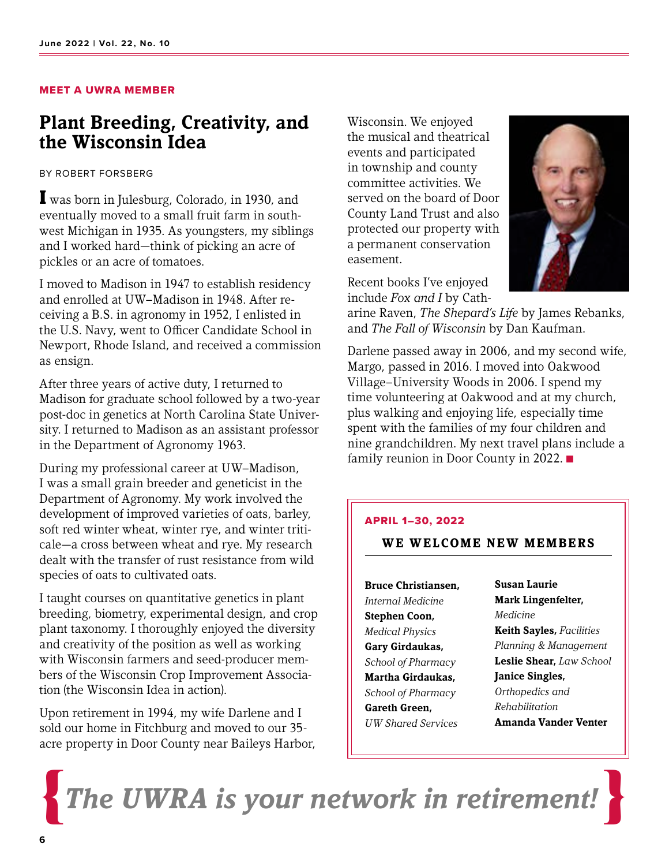### MEET A UWRA MEMBER

## **Plant Breeding, Creativity, and the Wisconsin Idea**

BY ROBERT FORSBERG

I was born in Julesburg, Colorado, in 1930, and eventually moved to a small fruit farm in southwest Michigan in 1935. As youngsters, my siblings and I worked hard—think of picking an acre of pickles or an acre of tomatoes.

I moved to Madison in 1947 to establish residency and enrolled at UW–Madison in 1948. After receiving a B.S. in agronomy in 1952, I enlisted in the U.S. Navy, went to Officer Candidate School in Newport, Rhode Island, and received a commission as ensign.

After three years of active duty, I returned to Madison for graduate school followed by a two-year post-doc in genetics at North Carolina State University. I returned to Madison as an assistant professor in the Department of Agronomy 1963.

During my professional career at UW–Madison, I was a small grain breeder and geneticist in the Department of Agronomy. My work involved the development of improved varieties of oats, barley, soft red winter wheat, winter rye, and winter triticale—a cross between wheat and rye. My research dealt with the transfer of rust resistance from wild species of oats to cultivated oats.

I taught courses on quantitative genetics in plant breeding, biometry, experimental design, and crop plant taxonomy. I thoroughly enjoyed the diversity and creativity of the position as well as working with Wisconsin farmers and seed-producer members of the Wisconsin Crop Improvement Association (the Wisconsin Idea in action).

Upon retirement in 1994, my wife Darlene and I sold our home in Fitchburg and moved to our 35 acre property in Door County near Baileys Harbor, Wisconsin. We enjoyed the musical and theatrical events and participated in township and county committee activities. We served on the board of Door County Land Trust and also protected our property with a permanent conservation easement.

Recent books I've enjoyed include *Fox and I* by Cath-

arine Raven, *The Shepard's Life* by James Rebanks, and *The Fall of Wisconsin* by Dan Kaufman.

Darlene passed away in 2006, and my second wife, Margo, passed in 2016. I moved into Oakwood Village–University Woods in 2006. I spend my time volunteering at Oakwood and at my church, plus walking and enjoying life, especially time spent with the families of my four children and nine grandchildren. My next travel plans include a family reunion in Door County in 2022.  $\blacksquare$ 

#### APRIL 1–30, 2022

### **WE WELCOME NEW MEMBERS**

**Bruce Christiansen,**  *Internal Medicine* **Stephen Coon,** *Medical Physics* **Gary Girdaukas,** *School of Pharmacy* **Martha Girdaukas,**  *School of Pharmacy* **Gareth Green,** *UW Shared Services*

**Susan Laurie Mark Lingenfelter,**  *Medicine* **Keith Sayles,** *Facilities Planning & Management* **Leslie Shear,** *Law School* **Janice Singles,**  *Orthopedics and Rehabilitation* **Amanda Vander Venter**

 $T$ he UWRA is your network in retirement

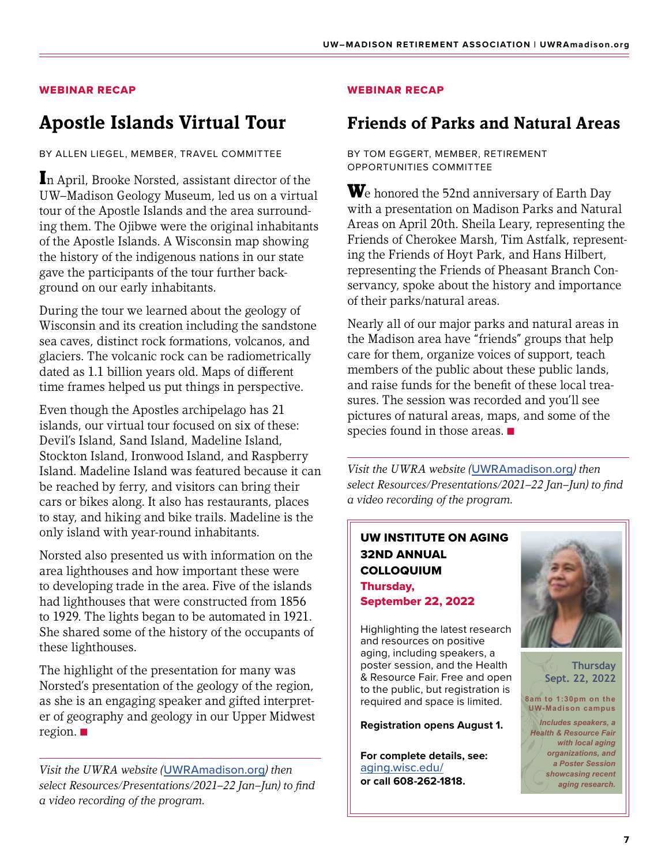### WEBINAR RECAP

# **Apostle Islands Virtual Tour**

BY ALLEN LIEGEL, MEMBER, TRAVEL COMMITTEE

In April, Brooke Norsted, assistant director of the UW–Madison Geology Museum, led us on a virtual tour of the Apostle Islands and the area surrounding them. The Ojibwe were the original inhabitants of the Apostle Islands. A Wisconsin map showing the history of the indigenous nations in our state gave the participants of the tour further background on our early inhabitants.

During the tour we learned about the geology of Wisconsin and its creation including the sandstone sea caves, distinct rock formations, volcanos, and glaciers. The volcanic rock can be radiometrically dated as 1.1 billion years old. Maps of different time frames helped us put things in perspective.

Even though the Apostles archipelago has 21 islands, our virtual tour focused on six of these: Devil's Island, Sand Island, Madeline Island, Stockton Island, Ironwood Island, and Raspberry Island. Madeline Island was featured because it can be reached by ferry, and visitors can bring their cars or bikes along. It also has restaurants, places to stay, and hiking and bike trails. Madeline is the only island with year-round inhabitants.

Norsted also presented us with information on the area lighthouses and how important these were to developing trade in the area. Five of the islands had lighthouses that were constructed from 1856 to 1929. The lights began to be automated in 1921. She shared some of the history of the occupants of these lighthouses.

The highlight of the presentation for many was  $\|\cdot\|$ Norsted's presentation of the geology of the region, as she is an engaging speaker and gifted interpreter of geography and geology in our Upper Midwest region.  $\blacksquare$ focus will be on how statistical methods applied to "big data" in human genetics, often

*Visit the UWRA website (*[UWRAmadison.org](http://UWRAmadison.org)*) then select Resources/Presentations/2021–22 Jan–Jun) to find a video recording of the program.*

### WEBINAR RECAP

### **Friends of Parks and Natural Areas**

BY TOM EGGERT, MEMBER, RETIREMENT OPPORTUNITIES COMMITTEE

We honored the 52nd anniversary of Earth Day with a presentation on Madison Parks and Natural Areas on April 20th. Sheila Leary, representing the Friends of Cherokee Marsh, Tim Astfalk, representing the Friends of Hoyt Park, and Hans Hilbert, representing the Friends of Pheasant Branch Conservancy, spoke about the history and importance of their parks/natural areas.

Nearly all of our major parks and natural areas in the Madison area have "friends" groups that help care for them, organize voices of support, teach members of the public about these public lands, and raise funds for the benefit of these local treasures. The session was recorded and you'll see pictures of natural areas, maps, and some of the species found in those areas.  $\blacksquare$ 

*Visit the UWRA website (*[UWRAmadison.org](http://UWRAmadison.org)*) then select Resources/Presentations/2021–22 Jan–Jun) to find a video recording of the program.*

### UW INSTITUTE ON AGING **The Colloquing Colloquing Colloquing Colloquing Colloquing Colloquing Colloquing Colloquing Colloquing Colloquing Colloquing Colloquing Colloquing Colloquing Colloquing Colloquing Colloquing Colloquing Colloquing Colloqui** *Refune COLLOQUIUM* Thursday, September 22, 2022 **Aging Authentically: Insights from Existentialism Example And** *Professor and Phoenisc* **and Chair, 2022**

 $\mathsf{f}$   $\mathsf{f}$   $\mathsf{f}$   $\mathsf{f}$   $\mathsf{f}$   $\mathsf{f}$   $\mathsf{f}$   $\mathsf{f}$   $\mathsf{f}$   $\mathsf{f}$   $\mathsf{f}$   $\mathsf{f}$   $\mathsf{f}$   $\mathsf{f}$   $\mathsf{f}$   $\mathsf{f}$   $\mathsf{f}$   $\mathsf{f}$   $\mathsf{f}$   $\mathsf{f}$   $\mathsf{f}$   $\mathsf{f}$   $\mathsf{f}$   $\mathsf{f}$   $\mathsf{$  $\frac{1}{\sqrt{2}}$  and resources on positive  $\parallel$  aging, including speakers, a poster session, and the Health **Moreof**  $\alpha$  **Mesource Fair. Free and open**  $\mathbb{R}^n$ ,  $\Box$  to the public, but registration is required and space is limited. *Director, Center for Demography of Health and Aging; Professor, Robert M. La Follette School of*  In our agents society, we tend to recoil from the hard realities of aging  $\mathbf{r}$ 

**Registration opens August 1.** 

**For complete details, see: we are:**  $\parallel$  For complete details, see: **Identifying** Equinox Biomarks and Cardiovascular Equitable Biomarks and Disease **Biomarks**  $\parallel$  or call 608-262-1818. **Judith Simcox, PhD** *Assoc. Director, WDRC Integrative Omics Core;* with private companies, of the discrimination as well as well as well as well as well as well as well as target

> Elevated lipids in our blood, such as triglycerides and free fatty acids, are used as predictive market market market market market market market market market market market market market



**Thursday Sept. 22, 2022**

**8am to 1:30pm on the UW-Madison campus** *Includes speakers, a Health & Resource Fair with local aging organizations, and a Poster Session showcasing recent aging research.*

**OPEN to the PUBLICAN to the PUBLICAN CONTRACT OF A SECOND PROPERTY OF A SECOND PROPERTY OF A SECOND PROPERTY**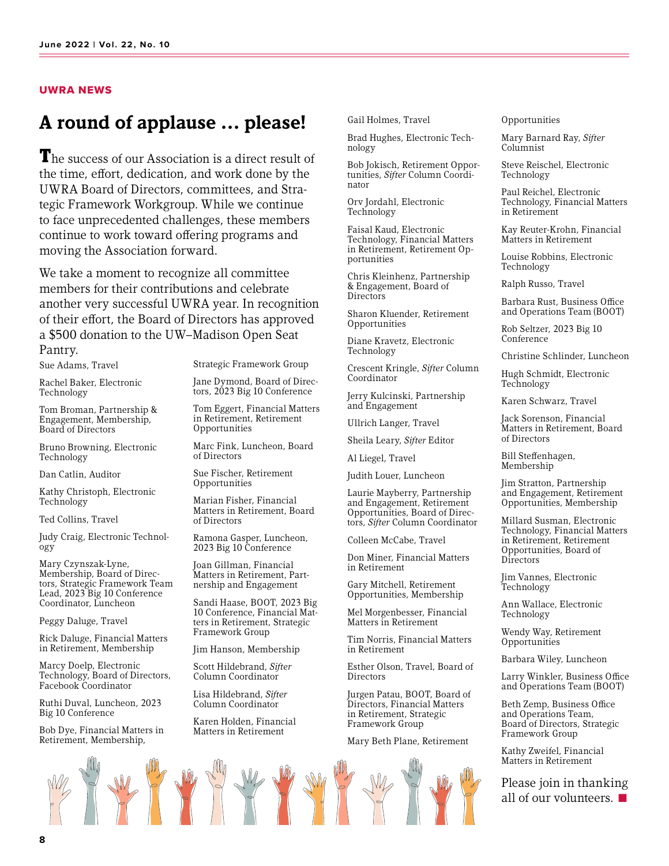#### UWRA NEWS

## **A round of applause … please!**

The success of our Association is a direct result of the time, effort, dedication, and work done by the UWRA Board of Directors, committees, and Strategic Framework Workgroup. While we continue to face unprecedented challenges, these members continue to work toward offering programs and moving the Association forward.

We take a moment to recognize all committee members for their contributions and celebrate another very successful UWRA year. In recognition of their effort, the Board of Directors has approved a \$500 donation to the UW–Madison Open Seat Pantry.

Sue Adams, Travel

Rachel Baker, Electronic Technology

Tom Broman, Partnership & Engagement, Membership, Board of Directors

Bruno Browning, Electronic Technology

Dan Catlin, Auditor

Kathy Christoph, Electronic Technology

Ted Collins, Travel

Judy Craig, Electronic Technology

Mary Czynszak-Lyne, Membership, Board of Directors, Strategic Framework Team Lead, 2023 Big 10 Conference Coordinator, Luncheon

Peggy Daluge, Travel

Rick Daluge, Financial Matters in Retirement, Membership

Marcy Doelp, Electronic Technology, Board of Directors, Facebook Coordinator

Ruthi Duval, Luncheon, 2023 Big 10 Conference

Bob Dye, Financial Matters in Retirement, Membership,

Strategic Framework Group

Jane Dymond, Board of Directors, 2023 Big 10 Conference

Tom Eggert, Financial Matters in Retirement, Retirement Opportunities

Marc Fink, Luncheon, Board of Directors

Sue Fischer, Retirement Opportunities

Marian Fisher, Financial Matters in Retirement, Board of Directors

Ramona Gasper, Luncheon, 2023 Big 10 Conference

Joan Gillman, Financial Matters in Retirement, Part- nership and Engagement

Sandi Haase, BOOT, 2023 Big 10 Conference, Financial Matters in Retirement, Strategic Framework Group

Jim Hanson, Membership

Scott Hildebrand, *Sifter*  Column Coordinator

Lisa Hildebrand, *Sifter*  Column Coordinator

Karen Holden, Financial Matters in Retirement

RY RY Y

Gail Holmes, Travel

Brad Hughes, Electronic Technology

Bob Jokisch, Retirement Opportunities, *Sifter* Column Coordinator

Orv Jordahl, Electronic Technology

Faisal Kaud, Electronic Technology, Financial Matters in Retirement, Retirement Op-<br>portunities

Chris Kleinhenz, Partnership & Engagement, Board of **Directors** 

Sharon Kluender, Retirement Opportunities

Diane Kravetz, Electronic Technology

Crescent Kringle, *Sifter* Column Coordinator

Jerry Kulcinski, Partnership and Engagement

Ullrich Langer, Travel

Sheila Leary, *Sifter* Editor

Al Liegel, Travel

Judith Louer, Luncheon

Laurie Mayberry, Partnership and Engagement, Retirement Opportunities, Board of Directors, *Sifter* Column Coordinator

Colleen McCabe, Travel

Don Miner, Financial Matters in Retirement

Gary Mitchell, Retirement Opportunities, Membership

Mel Morgenbesser, Financial Matters in Retirement

Tim Norris, Financial Matters in Retirement

Esther Olson, Travel, Board of **Directors** 

Jurgen Patau, BOOT, Board of Directors, Financial Matters in Retirement, Strategic Framework Group

Mary Beth Plane, Retirement

#### Opportunities

Mary Barnard Ray, *Sifter*  Columnist

Steve Reischel, Electronic Technology

Paul Reichel, Electronic Technology, Financial Matters in Retirement

Kay Reuter-Krohn, Financial Matters in Retirement

Louise Robbins, Electronic Technology

Ralph Russo, Travel

Barbara Rust, Business Office and Operations Team (BOOT)

Rob Seltzer, 2023 Big 10 Conference

Christine Schlinder, Luncheon

Hugh Schmidt, Electronic Technology

Karen Schwarz, Travel

Jack Sorenson, Financial Matters in Retirement, Board of Directors

Bill Steffenhagen, Membership

Jim Stratton, Partnership and Engagement, Retirement Opportunities, Membership

Millard Susman, Electronic Technology, Financial Matters in Retirement, Retirement Opportunities, Board of **Directors** 

Jim Vannes, Electronic Technology

Ann Wallace, Electronic Technology

Wendy Way, Retirement Opportunities

Barbara Wiley, Luncheon

Larry Winkler, Business Office and Operations Team (BOOT)

Beth Zemp, Business Office and Operations Team, Board of Directors, Strategic Framework Group

Kathy Zweifel, Financial Matters in Retirement

Please join in thanking all of our volunteers.  $\blacksquare$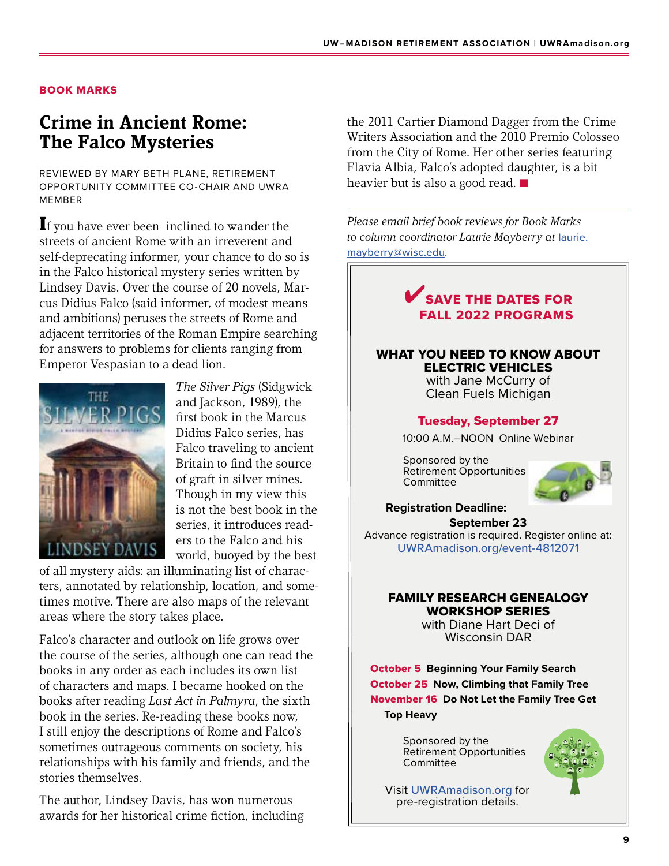### BOOK MARKS

# **Crime in Ancient Rome: The Falco Mysteries**

REVIEWED BY MARY BETH PLANE, RETIREMENT OPPORTUNITY COMMITTEE CO-CHAIR AND UWRA MEMBER

If you have ever been inclined to wander the streets of ancient Rome with an irreverent and self-deprecating informer, your chance to do so is in the Falco historical mystery series written by Lindsey Davis. Over the course of 20 novels, Marcus Didius Falco (said informer, of modest means and ambitions) peruses the streets of Rome and adjacent territories of the Roman Empire searching for answers to problems for clients ranging from Emperor Vespasian to a dead lion.



*The Silver Pigs* (Sidgwick and Jackson, 1989), the first book in the Marcus Didius Falco series, has Falco traveling to ancient Britain to find the source of graft in silver mines. Though in my view this is not the best book in the series, it introduces readers to the Falco and his world, buoyed by the best

of all mystery aids: an illuminating list of characters, annotated by relationship, location, and sometimes motive. There are also maps of the relevant areas where the story takes place.

Falco's character and outlook on life grows over the course of the series, although one can read the books in any order as each includes its own list of characters and maps. I became hooked on the books after reading *Last Act in Palmyra*, the sixth book in the series. Re-reading these books now, I still enjoy the descriptions of Rome and Falco's sometimes outrageous comments on society, his relationships with his family and friends, and the stories themselves.

The author, Lindsey Davis, has won numerous awards for her historical crime fiction, including the 2011 Cartier Diamond Dagger from the Crime Writers Association and the 2010 Premio Colosseo from the City of Rome. Her other series featuring Flavia Albia, Falco's adopted daughter, is a bit heavier but is also a good read.  $\blacksquare$ 

*Please email brief book reviews for Book Marks to column coordinator Laurie Mayberry at* [laurie.](mailto:laurie.mayberry%40wisc.edu?subject=) [mayberry@wisc.edu](mailto:laurie.mayberry%40wisc.edu?subject=)*.*



Visit [UWRAmadison.org](https://uwra.wildapricot.org/) for pre-registration details.

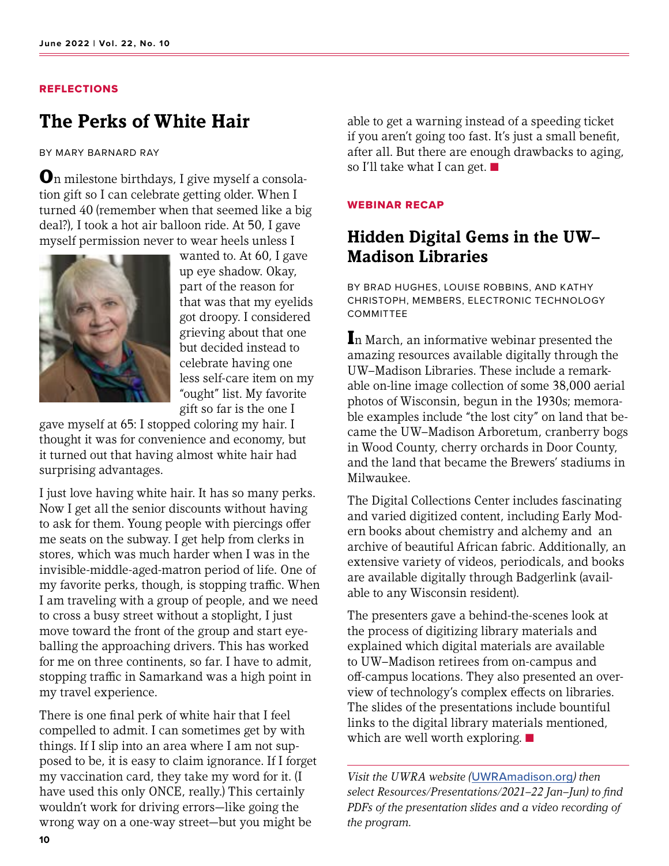#### REFLECTIONS

## **The Perks of White Hair**

BY MARY BARNARD RAY

On milestone birthdays, I give myself a consolation gift so I can celebrate getting older. When I turned 40 (remember when that seemed like a big deal?), I took a hot air balloon ride. At 50, I gave myself permission never to wear heels unless I



wanted to. At 60, I gave up eye shadow. Okay, part of the reason for that was that my eyelids got droopy. I considered grieving about that one but decided instead to celebrate having one less self-care item on my "ought" list. My favorite gift so far is the one I

gave myself at 65: I stopped coloring my hair. I thought it was for convenience and economy, but it turned out that having almost white hair had surprising advantages.

I just love having white hair. It has so many perks. Now I get all the senior discounts without having to ask for them. Young people with piercings offer me seats on the subway. I get help from clerks in stores, which was much harder when I was in the invisible-middle-aged-matron period of life. One of my favorite perks, though, is stopping traffic. When I am traveling with a group of people, and we need to cross a busy street without a stoplight, I just move toward the front of the group and start eyeballing the approaching drivers. This has worked for me on three continents, so far. I have to admit, stopping traffic in Samarkand was a high point in my travel experience.

There is one final perk of white hair that I feel compelled to admit. I can sometimes get by with things. If I slip into an area where I am not supposed to be, it is easy to claim ignorance. If I forget my vaccination card, they take my word for it. (I have used this only ONCE, really.) This certainly wouldn't work for driving errors—like going the wrong way on a one-way street—but you might be

able to get a warning instead of a speeding ticket if you aren't going too fast. It's just a small benefit, after all. But there are enough drawbacks to aging, so I'll take what I can get.  $\blacksquare$ 

#### WEBINAR RECAP

### **Hidden Digital Gems in the UW– Madison Libraries**

BY BRAD HUGHES, LOUISE ROBBINS, AND KATHY CHRISTOPH, MEMBERS, ELECTRONIC TECHNOLOGY COMMITTEE

In March, an informative webinar presented the amazing resources available digitally through the UW–Madison Libraries. These include a remarkable on-line image collection of some 38,000 aerial photos of Wisconsin, begun in the 1930s; memorable examples include "the lost city" on land that became the UW–Madison Arboretum, cranberry bogs in Wood County, cherry orchards in Door County, and the land that became the Brewers' stadiums in Milwaukee.

The Digital Collections Center includes fascinating and varied digitized content, including Early Modern books about chemistry and alchemy and an archive of beautiful African fabric. Additionally, an extensive variety of videos, periodicals, and books are available digitally through Badgerlink (available to any Wisconsin resident).

The presenters gave a behind-the-scenes look at the process of digitizing library materials and explained which digital materials are available to UW–Madison retirees from on-campus and off-campus locations. They also presented an overview of technology's complex effects on libraries. The slides of the presentations include bountiful links to the digital library materials mentioned, which are well worth exploring.  $\blacksquare$ 

*Visit the UWRA website (*[UWRAmadison.org](http://UWRAmadison.org)*) then select Resources/Presentations/2021–22 Jan–Jun) to find PDFs of the presentation slides and a video recording of the program.*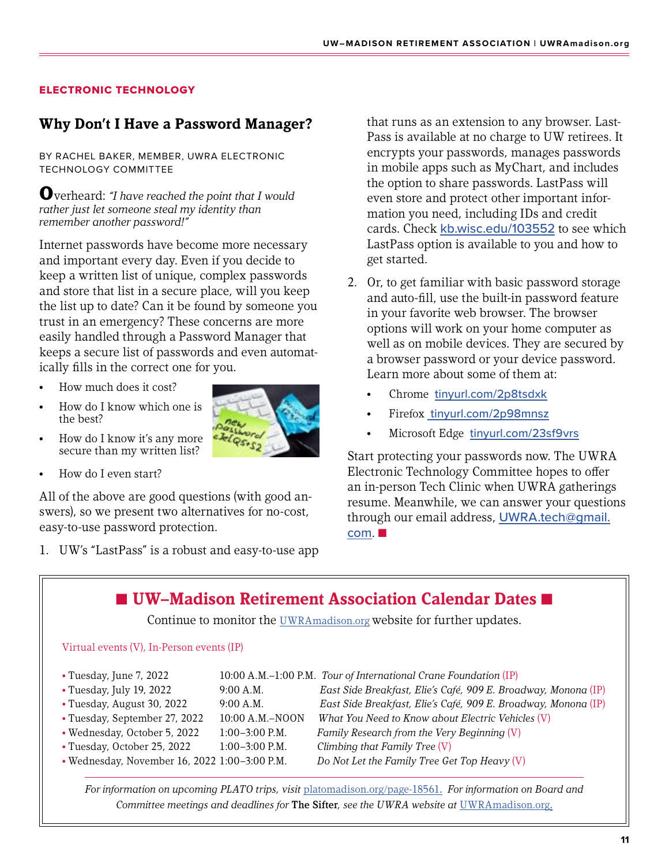### ELECTRONIC TECHNOLOGY

### **Why Don't I Have a Password Manager?**

BY RACHEL BAKER, MEMBER, UWRA ELECTRONIC TECHNOLOGY COMMITTEE

Overheard: *"I have reached the point that I would rather just let someone steal my identity than remember another password!"*

Internet passwords have become more necessary and important every day. Even if you decide to keep a written list of unique, complex passwords and store that list in a secure place, will you keep the list up to date? Can it be found by someone you trust in an emergency? These concerns are more easily handled through a Password Manager that keeps a secure list of passwords and even automatically fills in the correct one for you.

- How much does it cost?
- How do I know which one is the best?
- How do I know it's any more secure than my written list?
- How do I even start?

All of the above are good questions (with good answers), so we present two alternatives for no-cost, easy-to-use password protection.

1. UW's "LastPass" is a robust and easy-to-use app

that runs as an extension to any browser. Last-Pass is available at no charge to UW retirees. It encrypts your passwords, manages passwords in mobile apps such as MyChart, and includes the option to share passwords. LastPass will even store and protect other important information you need, including IDs and credit cards. Check [kb.wisc.edu/103552](https://kb.wisc.edu/103552) to see which LastPass option is available to you and how to get started.

- 2. Or, to get familiar with basic password storage and auto-fill, use the built-in password feature in your favorite web browser. The browser options will work on your home computer as well as on mobile devices. They are secured by a browser password or your device password. Learn more about some of them at:
	- Chrome [tinyurl.com/2p8tsdxk](https://tinyurl.com/2p8tsdxk)
	- Firefox\_[tinyurl.com/2p98mnsz](http://tinyurl.com/2p98mnsz)
	- Microsoft Edge [tinyurl.com/23sf9vrs](https://tinyurl.com/23sf9vrs)

Start protecting your passwords now. The UWRA Electronic Technology Committee hopes to offer an in-person Tech Clinic when UWRA gatherings resume. Meanwhile, we can answer your questions through our email address, [UWRA.tech@gmail.](mailto:UWRA.tech%40gmail.com?subject=)  $com. \blacksquare$  $com. \blacksquare$ 

**■ UW–Madison Retirement Association Calendar Dates ■** Continue to monitor the [UWRAmadison.org](http://UWRAmadison.org) website for further updates. Virtual events (V), In-Person events (IP) • Tuesday, June 7, 2022 10:00 A.M.–1:00 P.M. *Tour of International Crane Foundation* (IP) • Tuesday, July 19, 2022 9:00 A.M. *East Side Breakfast, Elie's Café, 909 E. Broadway, Monona* (IP) • Tuesday, August 30, 2022 9:00 A.M. *East Side Breakfast, Elie's Café, 909 E. Broadway, Monona* (IP) • Tuesday, September 27, 2022 10:00 A.M.–NOON *What You Need to Know about Electric Vehicles* (V) • Wednesday, October 5, 2022 1:00–3:00 P.M. *Family Research from the Very Beginning* (V) • Tuesday, October 25, 2022 1:00–3:00 P.M. *Climbing that Family Tree* (V) • Wednesday, November 16, 2022 1:00–3:00 P.M. *Do Not Let the Family Tree Get Top Heavy* (V)

*For information on upcoming PLATO trips, visit* [platomadison.org/page-18561](http://platomadison.org/page-18561). *For information on Board and Committee meetings and deadlines for* The Sifter*, see the UWRA website at* [UWRAmadison.org](http://UWRAmadison.org).